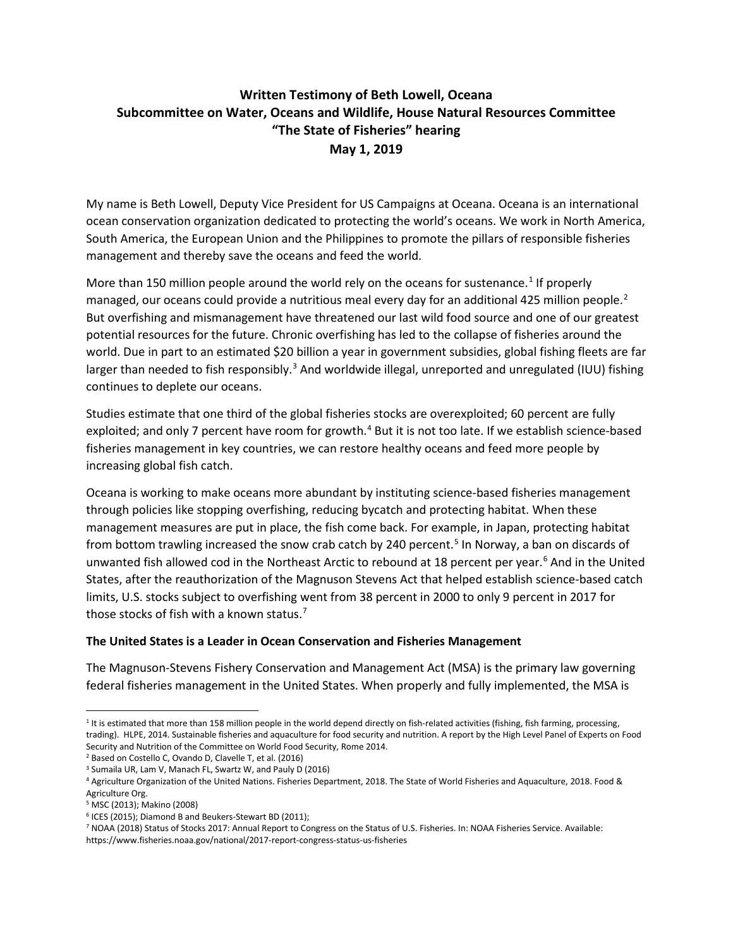# **Written Testimony of Beth Lowell, Oceana Subcommittee on Water, Oceans and Wildlife, House Natural Resources Committee "The State of Fisheries" hearing May 1, 2019**

My name is Beth Lowell, Deputy Vice President for US Campaigns at Oceana. Oceana is an international ocean conservation organization dedicated to protecting the world's oceans. We work in North America, South America, the European Union and the Philippines to promote the pillars of responsible fisheries management and thereby save the oceans and feed the world.

More than [1](#page-0-0)50 million people around the world rely on the oceans for sustenance.<sup>1</sup> If properly managed, our oceans could provide a nutritious meal every day for an additional 4[2](#page-0-1)5 million people.<sup>2</sup> But overfishing and mismanagement have threatened our last wild food source and one of our greatest potential resources for the future. Chronic overfishing has led to the collapse of fisheries around the world. Due in part to an estimated \$20 billion a year in government subsidies, global fishing fleets are far larger than needed to fish responsibly.<sup>[3](#page-0-2)</sup> And worldwide illegal, unreported and unregulated (IUU) fishing continues to deplete our oceans.

Studies estimate that one third of the global fisheries stocks are overexploited; 60 percent are fully exploited; and only 7 percent have room for growth.<sup>[4](#page-0-3)</sup> But it is not too late. If we establish science-based fisheries management in key countries, we can restore healthy oceans and feed more people by increasing global fish catch.

Oceana is working to make oceans more abundant by instituting science-based fisheries management through policies like stopping overfishing, reducing bycatch and protecting habitat. When these management measures are put in place, the fish come back. For example, in Japan, protecting habitat from bottom trawling increased the snow crab catch by 240 percent.<sup>[5](#page-0-4)</sup> In Norway, a ban on discards of unwanted fish allowed cod in the Northeast Arctic to rebound at 18 percent per year.<sup>[6](#page-0-5)</sup> And in the United States, after the reauthorization of the Magnuson Stevens Act that helped establish science-based catch limits, U.S. stocks subject to overfishing went from 38 percent in 2000 to only 9 percent in 2017 for those stocks of fish with a known status.<sup>[7](#page-0-6)</sup>

#### **The United States is a Leader in Ocean Conservation and Fisheries Management**

The Magnuson-Stevens Fishery Conservation and Management Act (MSA) is the primary law governing federal fisheries management in the United States. When properly and fully implemented, the MSA is

<span id="page-0-1"></span><sup>2</sup> Based on Costello C, Ovando D, Clavelle T, et al. (2016)

<span id="page-0-0"></span><sup>&</sup>lt;sup>1</sup> It is estimated that more than 158 million people in the world depend directly on fish-related activities (fishing, fish farming, processing, trading). HLPE, 2014. Sustainable fisheries and aquaculture for food security and nutrition. A report by the High Level Panel of Experts on Food Security and Nutrition of the Committee on World Food Security, Rome 2014.

<sup>3</sup> Sumaila UR, Lam V, Manach FL, Swartz W, and Pauly D (2016)

<span id="page-0-3"></span><span id="page-0-2"></span><sup>4</sup> Agriculture Organization of the United Nations. Fisheries Department, 2018. The State of World Fisheries and Aquaculture, 2018. Food & Agriculture Org.

<span id="page-0-4"></span><sup>5</sup> MSC (2013); Makino (2008)

<span id="page-0-5"></span><sup>6</sup> ICES (2015); Diamond B and Beukers-Stewart BD (2011);

<span id="page-0-6"></span><sup>7</sup> NOAA (2018) Status of Stocks 2017: Annual Report to Congress on the Status of U.S. Fisheries. In: NOAA Fisheries Service. Available: https://www.fisheries.noaa.gov/national/2017-report-congress-status-us-fisheries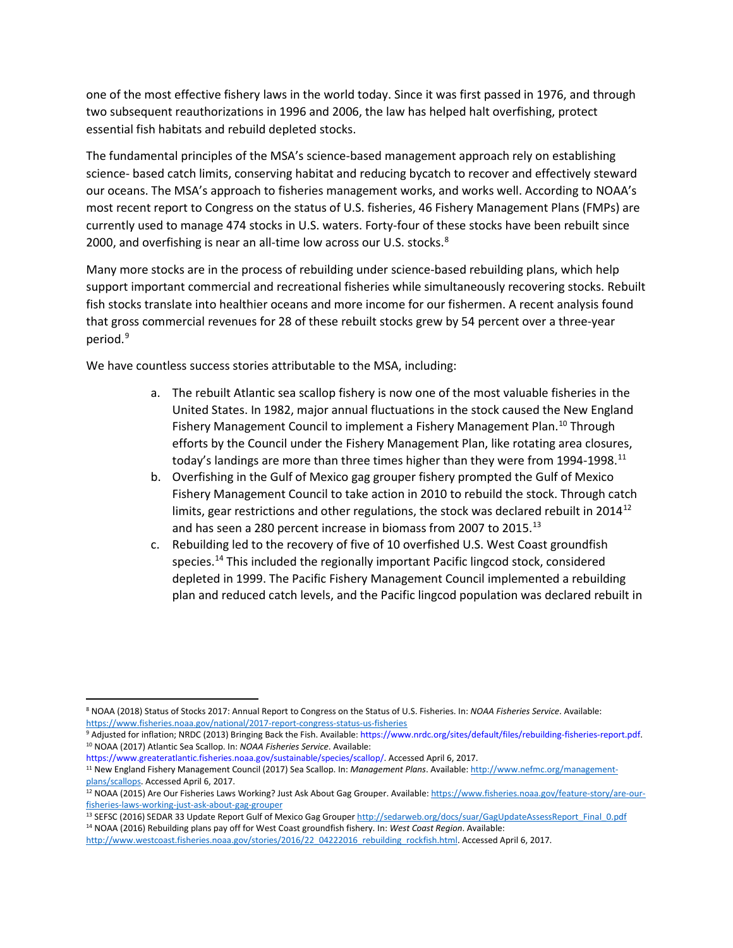one of the most effective fishery laws in the world today. Since it was first passed in 1976, and through two subsequent reauthorizations in 1996 and 2006, the law has helped halt overfishing, protect essential fish habitats and rebuild depleted stocks.

The fundamental principles of the MSA's science-based management approach rely on establishing science- based catch limits, conserving habitat and reducing bycatch to recover and effectively steward our oceans. The MSA's approach to fisheries management works, and works well. According to NOAA's most recent report to Congress on the status of U.S. fisheries, 46 Fishery Management Plans (FMPs) are currently used to manage 474 stocks in U.S. waters. Forty-four of these stocks have been rebuilt since 2000, and overfishing is near an all-time low across our U.S. stocks.<sup>[8](#page-1-0)</sup>

Many more stocks are in the process of rebuilding under science-based rebuilding plans, which help support important commercial and recreational fisheries while simultaneously recovering stocks. Rebuilt fish stocks translate into healthier oceans and more income for our fishermen. A recent analysis found that gross commercial revenues for 28 of these rebuilt stocks grew by 54 percent over a three-year period.<sup>[9](#page-1-1)</sup>

We have countless success stories attributable to the MSA, including:

- a. The rebuilt Atlantic sea scallop fishery is now one of the most valuable fisheries in the United States. In 1982, major annual fluctuations in the stock caused the New England Fishery Management Council to implement a Fishery Management Plan.<sup>[10](#page-1-2)</sup> Through efforts by the Council under the Fishery Management Plan, like rotating area closures, today's landings are more than three times higher than they were from 1994-1998.<sup>[11](#page-1-3)</sup>
- b. Overfishing in the Gulf of Mexico gag grouper fishery prompted the Gulf of Mexico Fishery Management Council to take action in 2010 to rebuild the stock. Through catch limits, gear restrictions and other regulations, the stock was declared rebuilt in  $2014^{12}$  $2014^{12}$  $2014^{12}$ and has seen a 280 percent increase in biomass from 2007 to 2015.<sup>[13](#page-1-5)</sup>
- c. Rebuilding led to the recovery of five of 10 overfished U.S. West Coast groundfish species.[14](#page-1-6) This included the regionally important Pacific lingcod stock, considered depleted in 1999. The Pacific Fishery Management Council implemented a rebuilding plan and reduced catch levels, and the Pacific lingcod population was declared rebuilt in

<span id="page-1-0"></span> <sup>8</sup> NOAA (2018) Status of Stocks 2017: Annual Report to Congress on the Status of U.S. Fisheries. In: *NOAA Fisheries Service*. Available: <https://www.fisheries.noaa.gov/national/2017-report-congress-status-us-fisheries>

<span id="page-1-2"></span><span id="page-1-1"></span><sup>9</sup> Adjusted for inflation; NRDC (2013) Bringing Back the Fish. Available: https://www.nrdc.org/sites/default/files/rebuilding-fisheries-report.pdf. <sup>10</sup> NOAA (2017) Atlantic Sea Scallop. In: *NOAA Fisheries Service*. Available:

https://www.greateratlantic.fisheries.noaa.gov/sustainable/species/scallop/. Accessed April 6, 2017.

<span id="page-1-3"></span><sup>11</sup> New England Fishery Management Council (2017) Sea Scallop. In: *Management Plans*. Available[: http://www.nefmc.org/management](http://www.nefmc.org/management-plans/scallops)[plans/scallops.](http://www.nefmc.org/management-plans/scallops) Accessed April 6, 2017.

<span id="page-1-4"></span><sup>12</sup> NOAA (2015) Are Our Fisheries Laws Working? Just Ask About Gag Grouper. Available[: https://www.fisheries.noaa.gov/feature-story/are-our](https://www.fisheries.noaa.gov/feature-story/are-our-fisheries-laws-working-just-ask-about-gag-grouper)[fisheries-laws-working-just-ask-about-gag-grouper](https://www.fisheries.noaa.gov/feature-story/are-our-fisheries-laws-working-just-ask-about-gag-grouper)

<span id="page-1-6"></span><span id="page-1-5"></span><sup>13</sup> SEFSC (2016) SEDAR 33 Update Report Gulf of Mexico Gag Groupe[r http://sedarweb.org/docs/suar/GagUpdateAssessReport\\_Final\\_0.pdf](http://sedarweb.org/docs/suar/GagUpdateAssessReport_Final_0.pdf) <sup>14</sup> NOAA (2016) Rebuilding plans pay off for West Coast groundfish fishery. In: *West Coast Region*. Available:

[http://www.westcoast.fisheries.noaa.gov/stories/2016/22\\_04222016\\_rebuilding\\_rockfish.html.](http://www.westcoast.fisheries.noaa.gov/stories/2016/22_04222016_rebuilding_rockfish.html) Accessed April 6, 2017.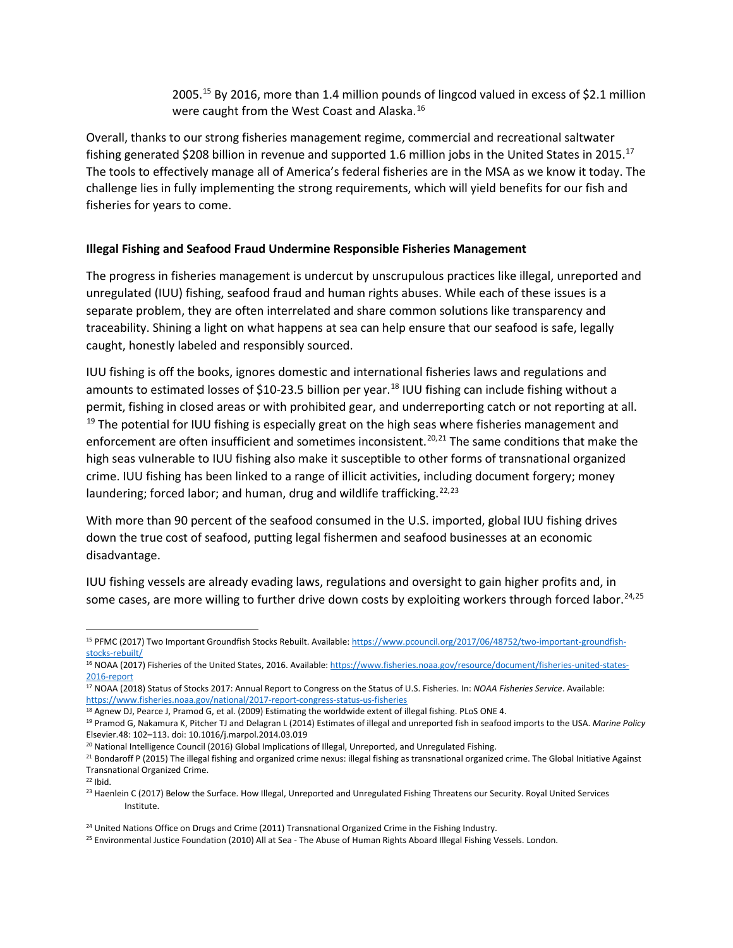2005.<sup>[15](#page-2-0)</sup> By 2016, more than 1.4 million pounds of lingcod valued in excess of \$2.1 million were caught from the West Coast and Alaska.[16](#page-2-1)

Overall, thanks to our strong fisheries management regime, commercial and recreational saltwater fishing generated \$208 billion in revenue and supported 1.6 million jobs in the United States in 2015.<sup>[17](#page-2-2)</sup> The tools to effectively manage all of America's federal fisheries are in the MSA as we know it today. The challenge lies in fully implementing the strong requirements, which will yield benefits for our fish and fisheries for years to come.

## **Illegal Fishing and Seafood Fraud Undermine Responsible Fisheries Management**

The progress in fisheries management is undercut by unscrupulous practices like illegal, unreported and unregulated (IUU) fishing, seafood fraud and human rights abuses. While each of these issues is a separate problem, they are often interrelated and share common solutions like transparency and traceability. Shining a light on what happens at sea can help ensure that our seafood is safe, legally caught, honestly labeled and responsibly sourced.

IUU fishing is off the books, ignores domestic and international fisheries laws and regulations and amounts to estimated losses of \$10-23.5 billion per year.<sup>[18](#page-2-3)</sup> IUU fishing can include fishing without a permit, fishing in closed areas or with prohibited gear, and underreporting catch or not reporting at all.  $19$  The potential for IUU fishing is especially great on the high seas where fisheries management and enforcement are often insufficient and sometimes inconsistent.<sup>[20,](#page-2-5)[21](#page-2-6)</sup> The same conditions that make the high seas vulnerable to IUU fishing also make it susceptible to other forms of transnational organized crime. IUU fishing has been linked to a range of illicit activities, including document forgery; money laundering; forced labor; and human, drug and wildlife trafficking.<sup>[22](#page-2-7),[23](#page-2-8)</sup>

With more than 90 percent of the seafood consumed in the U.S. imported, global IUU fishing drives down the true cost of seafood, putting legal fishermen and seafood businesses at an economic disadvantage.

IUU fishing vessels are already evading laws, regulations and oversight to gain higher profits and, in some cases, are more willing to further drive down costs by exploiting workers through forced labor.<sup>[24,](#page-2-9)[25](#page-2-10)</sup>

<span id="page-2-0"></span> <sup>15</sup> PFMC (2017) Two Important Groundfish Stocks Rebuilt. Available[: https://www.pcouncil.org/2017/06/48752/two-important-groundfish](https://www.pcouncil.org/2017/06/48752/two-important-groundfish-stocks-rebuilt/)[stocks-rebuilt/](https://www.pcouncil.org/2017/06/48752/two-important-groundfish-stocks-rebuilt/)

<span id="page-2-1"></span><sup>16</sup> NOAA (2017) Fisheries of the United States, 2016. Available[: https://www.fisheries.noaa.gov/resource/document/fisheries-united-states-](https://www.fisheries.noaa.gov/resource/document/fisheries-united-states-2016-report)[2016-report](https://www.fisheries.noaa.gov/resource/document/fisheries-united-states-2016-report)

<span id="page-2-2"></span><sup>17</sup> NOAA (2018) Status of Stocks 2017: Annual Report to Congress on the Status of U.S. Fisheries. In: *NOAA Fisheries Service*. Available: <https://www.fisheries.noaa.gov/national/2017-report-congress-status-us-fisheries>

<span id="page-2-3"></span><sup>18</sup> Agnew DJ, Pearce J, Pramod G, et al. (2009) Estimating the worldwide extent of illegal fishing. PLoS ONE 4.

<span id="page-2-4"></span><sup>19</sup> Pramod G, Nakamura K, Pitcher TJ and Delagran L (2014) Estimates of illegal and unreported fish in seafood imports to the USA. *Marine Policy* Elsevier.48: 102–113. doi: 10.1016/j.marpol.2014.03.019

<span id="page-2-5"></span><sup>&</sup>lt;sup>20</sup> National Intelligence Council (2016) Global Implications of Illegal, Unreported, and Unregulated Fishing.

<span id="page-2-6"></span><sup>&</sup>lt;sup>21</sup> Bondaroff P (2015) The illegal fishing and organized crime nexus: illegal fishing as transnational organized crime. The Global Initiative Against Transnational Organized Crime.

<span id="page-2-7"></span> $22$  Ibid.

<span id="page-2-8"></span><sup>&</sup>lt;sup>23</sup> Haenlein C (2017) Below the Surface. How Illegal, Unreported and Unregulated Fishing Threatens our Security. Royal United Services Institute.

<span id="page-2-9"></span><sup>&</sup>lt;sup>24</sup> United Nations Office on Drugs and Crime (2011) Transnational Organized Crime in the Fishing Industry.

<span id="page-2-10"></span><sup>&</sup>lt;sup>25</sup> Environmental Justice Foundation (2010) All at Sea - The Abuse of Human Rights Aboard Illegal Fishing Vessels. London.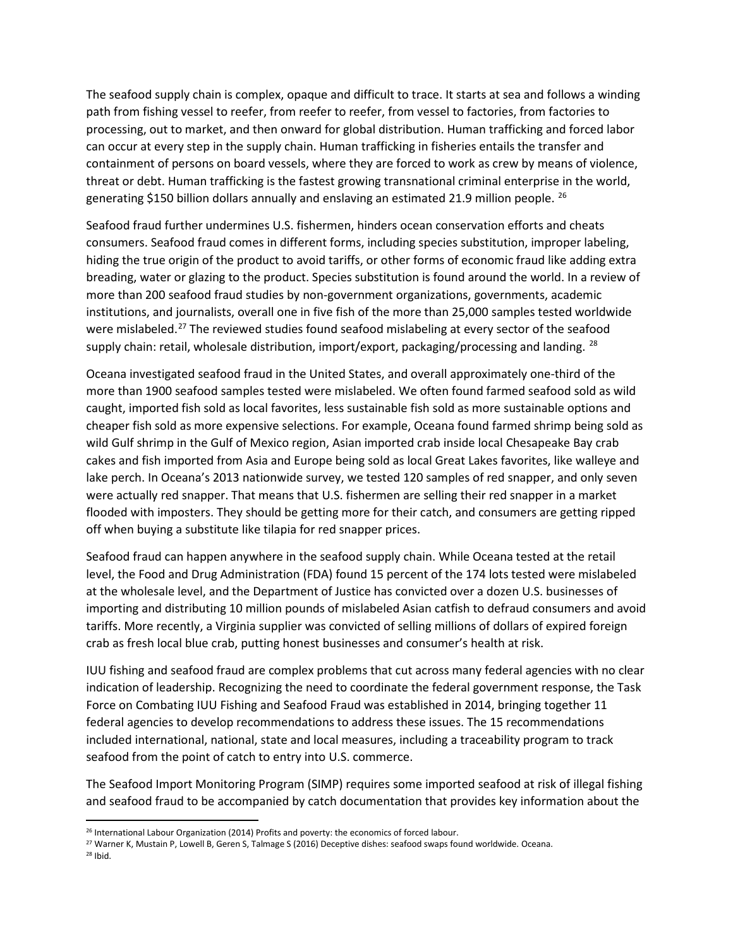The seafood supply chain is complex, opaque and difficult to trace. It starts at sea and follows a winding path from fishing vessel to reefer, from reefer to reefer, from vessel to factories, from factories to processing, out to market, and then onward for global distribution. Human trafficking and forced labor can occur at every step in the supply chain. Human trafficking in fisheries entails the transfer and containment of persons on board vessels, where they are forced to work as crew by means of violence, threat or debt. Human trafficking is the fastest growing transnational criminal enterprise in the world, generating \$150 billion dollars annually and enslaving an estimated 21.9 million people. <sup>[26](#page-3-0)</sup>

Seafood fraud further undermines U.S. fishermen, hinders ocean conservation efforts and cheats consumers. Seafood fraud comes in different forms, including species substitution, improper labeling, hiding the true origin of the product to avoid tariffs, or other forms of economic fraud like adding extra breading, water or glazing to the product. Species substitution is found around the world. In a review of more than 200 seafood fraud studies by non-government organizations, governments, academic institutions, and journalists, overall one in five fish of the more than 25,000 samples tested worldwide were mislabeled.<sup>[27](#page-3-1)</sup> The reviewed studies found seafood mislabeling at every sector of the seafood supply chain: retail, wholesale distribution, import/export, packaging/processing and landing. <sup>[28](#page-3-2)</sup>

Oceana investigated seafood fraud in the United States, and overall approximately one-third of the more than 1900 seafood samples tested were mislabeled. We often found farmed seafood sold as wild caught, imported fish sold as local favorites, less sustainable fish sold as more sustainable options and cheaper fish sold as more expensive selections. For example, Oceana found farmed shrimp being sold as wild Gulf shrimp in the Gulf of Mexico region, Asian imported crab inside local Chesapeake Bay crab cakes and fish imported from Asia and Europe being sold as local Great Lakes favorites, like walleye and lake perch. In Oceana's 2013 nationwide survey, we tested 120 samples of red snapper, and only seven were actually red snapper. That means that U.S. fishermen are selling their red snapper in a market flooded with imposters. They should be getting more for their catch, and consumers are getting ripped off when buying a substitute like tilapia for red snapper prices.

Seafood fraud can happen anywhere in the seafood supply chain. While Oceana tested at the retail level, the Food and Drug Administration (FDA) found 15 percent of the 174 lots tested were mislabeled at the wholesale level, and the Department of Justice has convicted over a dozen U.S. businesses of importing and distributing 10 million pounds of mislabeled Asian catfish to defraud consumers and avoid tariffs. More recently, a Virginia supplier was convicted of selling millions of dollars of expired foreign crab as fresh local blue crab, putting honest businesses and consumer's health at risk.

IUU fishing and seafood fraud are complex problems that cut across many federal agencies with no clear indication of leadership. Recognizing the need to coordinate the federal government response, the Task Force on Combating IUU Fishing and Seafood Fraud was established in 2014, bringing together 11 federal agencies to develop recommendations to address these issues. The 15 recommendations included international, national, state and local measures, including a traceability program to track seafood from the point of catch to entry into U.S. commerce.

The Seafood Import Monitoring Program (SIMP) requires some imported seafood at risk of illegal fishing and seafood fraud to be accompanied by catch documentation that provides key information about the

<span id="page-3-0"></span><sup>&</sup>lt;sup>26</sup> International Labour Organization (2014) Profits and poverty: the economics of forced labour.

<span id="page-3-2"></span><span id="page-3-1"></span><sup>27</sup> Warner K, Mustain P, Lowell B, Geren S, Talmage S (2016) Deceptive dishes: seafood swaps found worldwide. Oceana. <sup>28</sup> Ibid.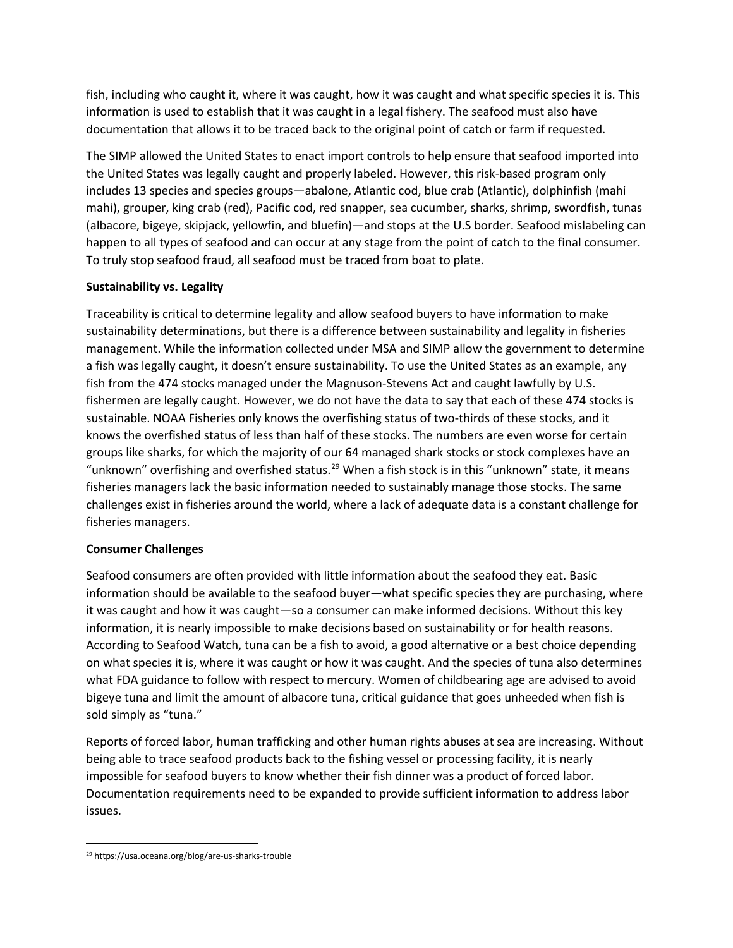fish, including who caught it, where it was caught, how it was caught and what specific species it is. This information is used to establish that it was caught in a legal fishery. The seafood must also have documentation that allows it to be traced back to the original point of catch or farm if requested.

The SIMP allowed the United States to enact import controls to help ensure that seafood imported into the United States was legally caught and properly labeled. However, this risk-based program only includes 13 species and species groups—abalone, Atlantic cod, blue crab (Atlantic), dolphinfish (mahi mahi), grouper, king crab (red), Pacific cod, red snapper, sea cucumber, sharks, shrimp, swordfish, tunas (albacore, bigeye, skipjack, yellowfin, and bluefin)—and stops at the U.S border. Seafood mislabeling can happen to all types of seafood and can occur at any stage from the point of catch to the final consumer. To truly stop seafood fraud, all seafood must be traced from boat to plate.

## **Sustainability vs. Legality**

Traceability is critical to determine legality and allow seafood buyers to have information to make sustainability determinations, but there is a difference between sustainability and legality in fisheries management. While the information collected under MSA and SIMP allow the government to determine a fish was legally caught, it doesn't ensure sustainability. To use the United States as an example, any fish from the 474 stocks managed under the Magnuson-Stevens Act and caught lawfully by U.S. fishermen are legally caught. However, we do not have the data to say that each of these 474 stocks is sustainable. NOAA Fisheries only knows the overfishing status of two-thirds of these stocks, and it knows the overfished status of less than half of these stocks. The numbers are even worse for certain groups like sharks, for which the majority of our 64 managed shark stocks or stock complexes have an "unknown" overfishing and overfished status.<sup>[29](#page-4-0)</sup> When a fish stock is in this "unknown" state, it means fisheries managers lack the basic information needed to sustainably manage those stocks. The same challenges exist in fisheries around the world, where a lack of adequate data is a constant challenge for fisheries managers.

## **Consumer Challenges**

Seafood consumers are often provided with little information about the seafood they eat. Basic information should be available to the seafood buyer—what specific species they are purchasing, where it was caught and how it was caught—so a consumer can make informed decisions. Without this key information, it is nearly impossible to make decisions based on sustainability or for health reasons. According to Seafood Watch, tuna can be a fish to avoid, a good alternative or a best choice depending on what species it is, where it was caught or how it was caught. And the species of tuna also determines what FDA guidance to follow with respect to mercury. Women of childbearing age are advised to avoid bigeye tuna and limit the amount of albacore tuna, critical guidance that goes unheeded when fish is sold simply as "tuna."

Reports of forced labor, human trafficking and other human rights abuses at sea are increasing. Without being able to trace seafood products back to the fishing vessel or processing facility, it is nearly impossible for seafood buyers to know whether their fish dinner was a product of forced labor. Documentation requirements need to be expanded to provide sufficient information to address labor issues.

<span id="page-4-0"></span> <sup>29</sup> https://usa.oceana.org/blog/are-us-sharks-trouble